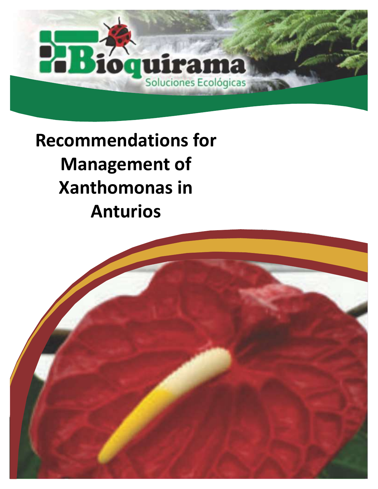## PB; quirama Soluciones Ecológicas

### **Recommendations for Management of Xanthomonas in Anturios**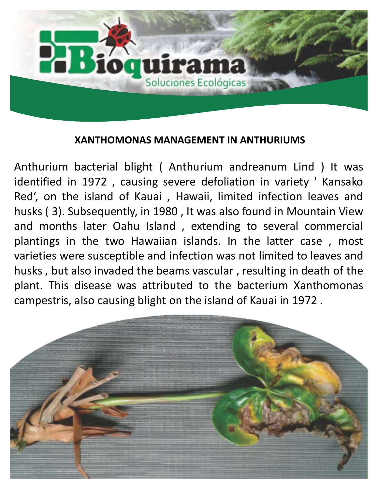

#### **XANTHOMONAS MANAGEMENT IN ANTHURIUMS**

Anthurium bacterial blight ( Anthurium andreanum Lind ) It was identified in 1972 , causing severe defoliation in variety ' Kansako Red', on the island of Kauai , Hawaii, limited infection leaves and husks ( 3). Subsequently, in 1980 , It was also found in Mountain View and months later Oahu Island , extending to several commercial plantings in the two Hawaiian islands. In the latter case , most varieties were susceptible and infection was not limited to leaves and husks , but also invaded the beams vascular , resulting in death of the plant. This disease was attributed to the bacterium Xanthomonas campestris, also causing blight on the island of Kauai in 1972 .

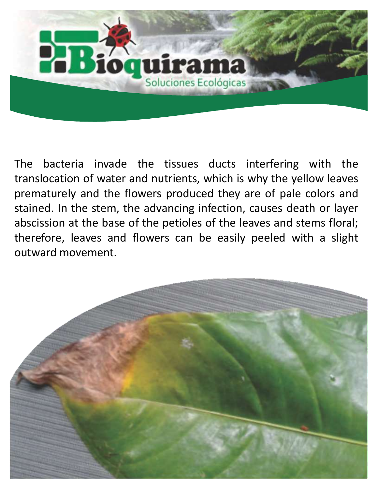

The bacteria invade the tissues ducts interfering with the translocation of water and nutrients, which is why the yellow leaves prematurely and the flowers produced they are of pale colors and stained. In the stem, the advancing infection, causes death or layer abscission at the base of the petioles of the leaves and stems floral; therefore, leaves and flowers can be easily peeled with a slight outward movement.

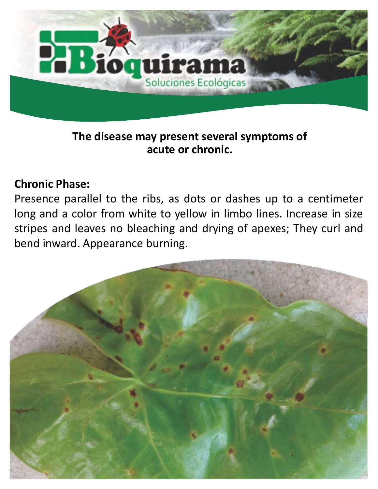

#### **The disease may present several symptoms of acute or chronic.**

#### **Chronic Phase:**

Presence parallel to the ribs, as dots or dashes up to a centimeter long and a color from white to yellow in limbo lines. Increase in size stripes and leaves no bleaching and drying of apexes; They curl and bend inward. Appearance burning.

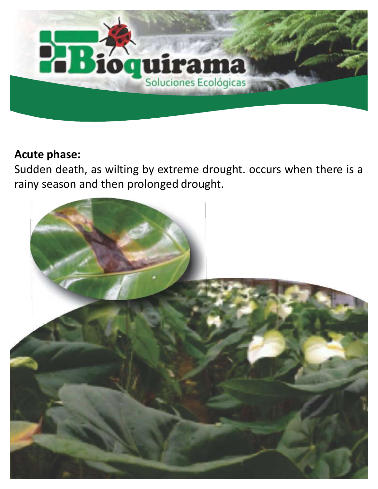

#### **Acute phase:**

Sudden death, as wilting by extreme drought. occurs when there is a rainy season and then prolonged drought.

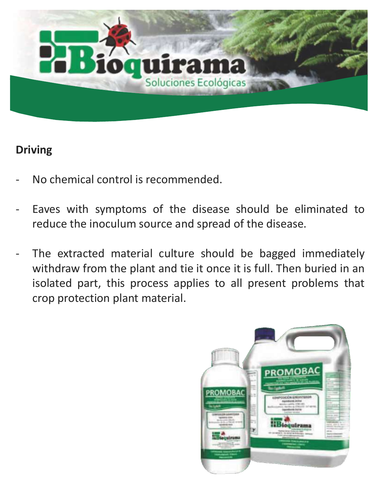

#### **Driving**

- No chemical control is recommended.
- Eaves with symptoms of the disease should be eliminated to reduce the inoculum source and spread of the disease.
- The extracted material culture should be bagged immediately withdraw from the plant and tie it once it is full. Then buried in an isolated part, this process applies to all present problems that crop protection plant material.

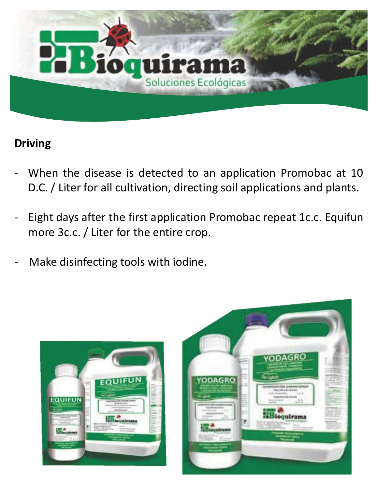

#### **Driving**

- When the disease is detected to an application Promobac at 10 D.C. / Liter for all cultivation, directing soil applications and plants.
- Eight days after the first application Promobac repeat 1c.c. Equifun more 3c.c. / Liter for the entire crop.
- Make disinfecting tools with iodine.